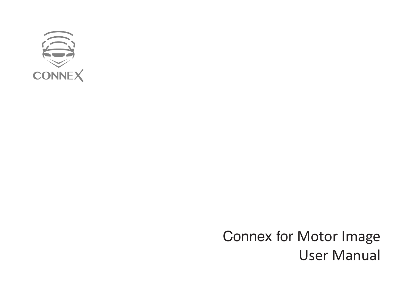

Connex for Motor Image User Manual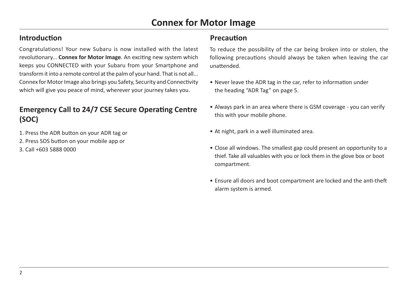## **Introduction**

Congratulations! Your new Subaru is now installed with the latest revolutionary... **Connex for Motor Image**. An exciting new system which keeps you CONNECTED with your Subaru from your Smartphone and transform it into a remote control at the palm of your hand. That is not all... Connex for Motor Image also brings you Safety, Security and Connectivity which will give you peace of mind, wherever your journey takes you.

# **Emergency Call to 24/7 CSE Secure Operating Centre (SOC)**

- 1. Press the ADR button on your ADR tag or
- 2. Press SOS button on your mobile app or
- 3. Call +603 5888 0000

## **Precaution**

To reduce the possibility of the car being broken into or stolen, the following precautions should always be taken when leaving the car unattended.

- Never leave the ADR tag in the car, refer to information under the heading "ADR Tag" on page 5.
- Always park in an area where there is GSM coverage you can verify this with your mobile phone.
- At night, park in a well illuminated area.
- Close all windows. The smallest gap could present an opportunity to a thief. Take all valuables with you or lock them in the glove box or boot compartment.
- Ensure all doors and boot compartment are locked and the anti-theft alarm system is armed.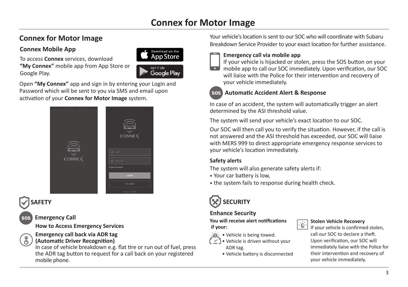#### **Connex Mobile App**

To access **Connex** services, download **"My Connex"** mobile app from App Store or Google Play.



Open **"My Connex"** app and sign in by entering your Login and Password which will be sent to you via SMS and email upon activation of your **Connex for Motor Image** system.



# **SAFETY**

## SOS **Emergency Call**

**How to Access Emergency Services**

#### **Emergency call back via ADR tag (Automatic Driver Recognition)**

In case of vehicle breakdown e.g. flat tire or run out of fuel, press the ADR tag button to request for a call back on your registered mobile phone.

**Connex for Motor Image Connex for Motor Image** Your vehicle's location is sent to our SOC who will coordinate with Subaru Breakdown Service Provider to your exact location for further assistance.



#### **Emergency call via mobile app**

If your vehicle is hijacked or stolen, press the SOS button on your mobile app to call our SOC immediately. Upon verification, our SOC will liaise with the Police for their intervention and recovery of your vehicle immediately.

#### SOS **Automatic Accident Alert & Response**

In case of an accident, the system will automatically trigger an alert determined by the ASI threshold value.

The system will send your vehicle's exact location to our SOC.

Our SOC will then call you to verify the situation. However, if the call is not answered and the ASI threshold has exceeded, our SOC will liaise with MERS 999 to direct appropriate emergency response services to your vehicle's location immediately.

#### **Safety alerts**

The system will also generate safety alerts if:

- Your car battery is low,
- the system fails to response during health check.



#### **Enhance Security**

**You will receive alert notifications if your:**

- Vehicle is being towed.
- Vehicle is driven without your ADR tag.
	- Vehicle battery is disconnected



#### **Stolen Vehicle Recovery**

If your vehicle is confirmed stolen, call our SOC to declare a theft. Upon verification, our SOC will immediately liaise with the Police for their intervention and recovery of your vehicle immediately.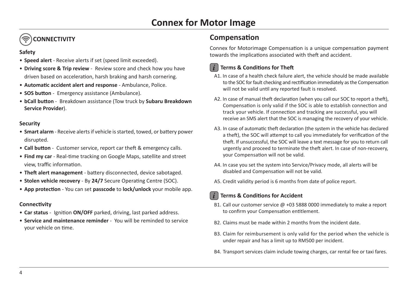# **CONNECTIVITY**

#### **Safety**

- **Speed alert** Receive alerts if set (speed limit exceeded).
- **Driving score & Trip review** Review score and check how you have driven based on acceleration, harsh braking and harsh cornering.
- **Automatic accident alert and response** Ambulance, Police.
- **SOS button** Emergency assistance (Ambulance).
- **bCall button** Breakdown assistance (Tow truck by **Subaru Breakdown Service Provider**).

#### **Security**

- **Smart alarm** Receive alerts if vehicle is started, towed, or battery power disrupted.
- **Call button** Customer service, report car theft & emergency calls.
- **Find my car** Real-time tracking on Google Maps, satellite and street view, traffic information.
- **Theft alert management** battery disconnected, device sabotaged.
- **Stolen vehicle recovery**  By **24/7** Secure Operating Centre (SOC).
- **App protection** You can set **passcode** to **lock/unlock** your mobile app.

#### **Connectivity**

- **Car status** Ignition **ON/OFF** parked, driving, last parked address.
- **Service and maintenance reminder** You will be reminded to service your vehicle on time.

## **Compensation**

Connex for Motorimage Compensation is a unique compensation payment towards the implications associated with theft and accident.



### *i* **Terms & Conditions for Theft**

- A1. In case of a health check failure alert, the vehicle should be made available to the SOC for fault checking and rectification immediately as the Compensation will not be valid until any reported fault is resolved.
- A2. In case of manual theft declaration (when you call our SOC to report a theft), Compensation is only valid if the SOC is able to establish connection and track your vehicle. If connection and tracking are successful, you will receive an SMS alert that the SOC is managing the recovery of your vehicle.
- A3. In case of automatic theft declaration (the system in the vehicle has declared a theft), the SOC will attempt to call you immediately for verification of the theft. If unsuccessful, the SOC will leave a text message for you to return call urgently and proceed to terminate the theft alert. In case of non-recovery, your Compensation will not be valid.
- A4. In case you set the system into Service/Privacy mode, all alerts will be disabled and Compensation will not be valid.
- A5. Credit validity period is 6 months from date of police report.

### *i* **Terms & Conditions for Accident**

- B1. Call our customer service @ +03 5888 0000 immediately to make a report to confirm your Compensation entitlement.
- B2. Claims must be made within 2 months from the incident date.
- B3. Claim for reimbursement is only valid for the period when the vehicle is under repair and has a limit up to RM500 per incident.
- B4. Transport services claim include towing charges, car rental fee or taxi fares.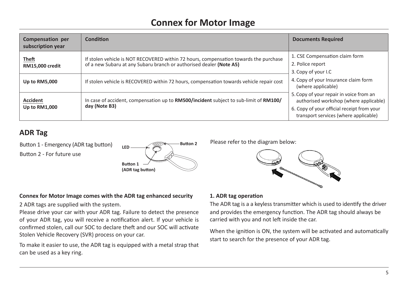| Compensation per<br>subscription year | <b>Condition</b>                                                                                                                                             | <b>Documents Required</b>                                                                                                                                                |
|---------------------------------------|--------------------------------------------------------------------------------------------------------------------------------------------------------------|--------------------------------------------------------------------------------------------------------------------------------------------------------------------------|
| Theft<br><b>RM15.000 credit</b>       | If stolen vehicle is NOT RECOVERED within 72 hours, compensation towards the purchase<br>of a new Subaru at any Subaru branch or authorised dealer (Note A5) | 1. CSE Compensation claim form<br>2. Police report<br>3. Copy of your I.C                                                                                                |
| Up to RM5,000                         | If stolen vehicle is RECOVERED within 72 hours, compensation towards vehicle repair cost                                                                     | 4. Copy of your Insurance claim form<br>(where applicable)                                                                                                               |
| <b>Accident</b><br>Up to RM1,000      | In case of accident, compensation up to <b>RM500/incident</b> subject to sub-limit of <b>RM100/</b><br>day (Note B3)                                         | 5. Copy of your repair in voice from an<br>authorised workshop (where applicable)<br>6. Copy of your official receipt from your<br>transport services (where applicable) |

# **ADR Tag**

Button 1 - Emergency (ADR tag button) Button 2 - For future use



Please refer to the diagram below:



#### **Connex for Motor Image comes with the ADR tag enhanced security**

2 ADR tags are supplied with the system.

Please drive your car with your ADR tag. Failure to detect the presence of your ADR tag, you will receive a notification alert. If your vehicle is confirmed stolen, call our SOC to declare theft and our SOC will activate Stolen Vehicle Recovery (SVR) process on your car.

To make it easier to use, the ADR tag is equipped with a metal strap that can be used as a key ring.

#### **1. ADR tag operation**

The ADR tag is a a keyless transmitter which is used to identify the driver and provides the emergency function. The ADR tag should always be carried with you and not left inside the car.

When the ignition is ON, the system will be activated and automatically start to search for the presence of your ADR tag.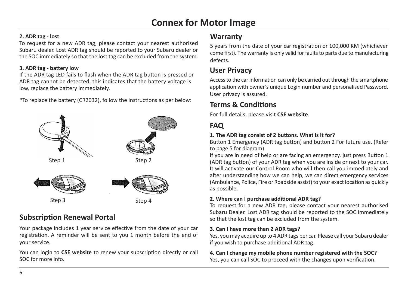#### **2. ADR tag - lost**

To request for a new ADR tag, please contact your nearest authorised Subaru dealer. Lost ADR tag should be reported to your Subaru dealer or the SOC immediately so that the lost tag can be excluded from the system.

#### **3. ADR tag - battery low**

If the ADR tag LED fails to flash when the ADR tag button is pressed or ADR tag cannot be detected, this indicates that the battery voltage is low, replace the battery immediately.

\*To replace the battery (CR2032), follow the instructions as per below:



# **Subscription Renewal Portal**

Your package includes 1 year service effective from the date of your car registration. A reminder will be sent to you 1 month before the end of your service.

You can login to **CSE website** to renew your subscription directly or call SOC for more info.

# **Warranty**

5 years from the date of your car registration or 100,000 KM (whichever come first). The warranty is only valid for faults to parts due to manufacturing defects.

# **User Privacy**

Access to the car information can only be carried out through the smartphone application with owner's unique Login number and personalised Password. User privacy is assured.

# **Terms & Conditions**

For full details, please visit **CSE website**.

# **FAQ**

#### **1. The ADR tag consist of 2 buttons. What is it for?**

Button 1 Emergency (ADR tag button) and button 2 For future use. (Refer to page 5 for diagram)

If you are in need of help or are facing an emergency, just press Button 1 (ADR tag button) of your ADR tag when you are inside or next to your car. It will activate our Control Room who will then call you immediately and after understanding how we can help, we can direct emergency services (Ambulance, Police, Fire or Roadside assist) to your exact location as quickly as possible.

#### **2. Where can I purchase additional ADR tag?**

To request for a new ADR tag, please contact your nearest authorised Subaru Dealer. Lost ADR tag should be reported to the SOC immediately so that the lost tag can be excluded from the system.

#### **3. Can I have more than 2 ADR tags?**

Yes, you may acquire up to 4 ADR tags per car. Please call your Subaru dealer if you wish to purchase additional ADR tag.

### **4. Can I change my mobile phone number registered with the SOC?**

Yes, you can call SOC to proceed with the changes upon verification.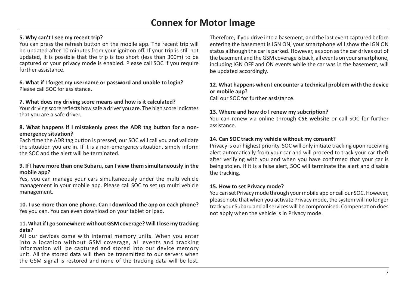#### **5. Why can't I see my recent trip?**

You can press the refresh button on the mobile app. The recent trip will be updated after 10 minutes from your ignition off. If your trip is still not updated, it is possible that the trip is too short (less than 300m) to be captured or your privacy mode is enabled. Please call SOC if you require further assistance.

#### **6. What if I forget my username or password and unable to login?** Please call SOC for assistance.

#### **7. What does my driving score means and how is it calculated?**

Your driving score reflects how safe a driver you are. The high score indicates that you are a safe driver.

#### **8. What happens if I mistakenly press the ADR tag button for a nonemergency situation?**

Each time the ADR tag button is pressed, our SOC will call you and validate the situation you are in. If it is a non-emergency situation, simply inform the SOC and the alert will be terminated.

#### **9. If I have more than one Subaru, can I view them simultaneously in the mobile app?**

Yes, you can manage your cars simultaneously under the multi vehicle management in your mobile app. Please call SOC to set up multi vehicle management.

# **10. I use more than one phone. Can I download the app on each phone?**

Yes you can. You can even download on your tablet or ipad.

#### **11. What if I go somewhere without GSM coverage? Will I lose my tracking data?**

All our devices come with internal memory units. When you enter into a location without GSM coverage, all events and tracking information will be captured and stored into our device memory unit. All the stored data will then be transmitted to our servers when the GSM signal is restored and none of the tracking data will be lost. Therefore, if you drive into a basement, and the last event captured before entering the basement is IGN ON, your smartphone will show the IGN ON status although the car is parked. However, as soon as the car drives out of the basement and the GSM coverage is back, all events on your smartphone, including IGN OFF and ON events while the car was in the basement, will be updated accordingly.

#### **12. What happens when I encounter a technical problem with the device or mobile app?**

Call our SOC for further assistance.

#### **13. Where and how do I renew my subcription?**

You can renew via online through **CSE website** or call SOC for further assistance.

#### **14. Can SOC track my vehicle without my consent?**

Privacy is our highest priority. SOC will only initiate tracking upon receiving alert automatically from your car and will proceed to track your car theft after verifying with you and when you have confirmed that your car is being stolen. If it is a false alert, SOC will terminate the alert and disable the tracking.

#### **15. How to set Privacy mode?**

You can set Privacy mode through your mobile app or call our SOC. However, please note that when you activate Privacy mode, the system will no longer track your Subaru and all services will be compromised. Compensation does not apply when the vehicle is in Privacy mode.